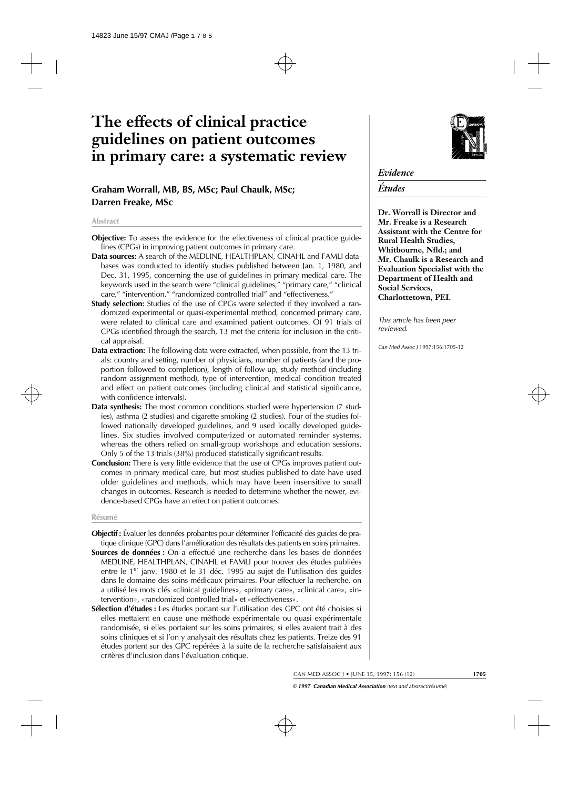# **The effects of clinical practice guidelines on patient outcomes in primary care: a systematic review**

# **Graham Worrall, MB, BS, MSc; Paul Chaulk, MSc; Darren Freake, MSc**

#### **Abstract**

- **Objective:** To assess the evidence for the effectiveness of clinical practice guidelines (CPGs) in improving patient outcomes in primary care.
- **Data sources:** A search of the MEDLINE, HEALTHPLAN, CINAHL and FAMLI databases was conducted to identify studies published between Jan. 1, 1980, and Dec. 31, 1995, concerning the use of guidelines in primary medical care. The keywords used in the search were "clinical guidelines," "primary care," "clinical care," "intervention," "randomized controlled trial" and "effectiveness."
- **Study selection:** Studies of the use of CPGs were selected if they involved a randomized experimental or quasi-experimental method, concerned primary care, were related to clinical care and examined patient outcomes. Of 91 trials of CPGs identified through the search, 13 met the criteria for inclusion in the critical appraisal.
- **Data extraction:** The following data were extracted, when possible, from the 13 trials: country and setting, number of physicians, number of patients (and the proportion followed to completion), length of follow-up, study method (including random assignment method), type of intervention, medical condition treated and effect on patient outcomes (including clinical and statistical significance, with confidence intervals).
- **Data synthesis:** The most common conditions studied were hypertension (7 studies), asthma (2 studies) and cigarette smoking (2 studies). Four of the studies followed nationally developed guidelines, and 9 used locally developed guidelines. Six studies involved computerized or automated reminder systems, whereas the others relied on small-group workshops and education sessions. Only 5 of the 13 trials (38%) produced statistically significant results.
- **Conclusion:** There is very little evidence that the use of CPGs improves patient outcomes in primary medical care, but most studies published to date have used older guidelines and methods, which may have been insensitive to small changes in outcomes. Research is needed to determine whether the newer, evidence-based CPGs have an effect on patient outcomes.

#### **Résumé**

- **Objectif :** Évaluer les données probantes pour déterminer l'efficacité des guides de pratique clinique (GPC) dans l'amélioration des résultats des patients en soins primaires.
- **Sources de données :** On a effectué une recherche dans les bases de données MEDLINE, HEALTHPLAN, CINAHL et FAMLI pour trouver des études publiées entre le 1<sup>er</sup> janv. 1980 et le 31 déc. 1995 au sujet de l'utilisation des guides dans le domaine des soins médicaux primaires. Pour effectuer la recherche, on a utilisé les mots clés «clinical guidelines», «primary care», «clinical care», «intervention», «randomized controlled trial» et «effectiveness».
- **Sélection d'études :** Les études portant sur l'utilisation des GPC ont été choisies si elles mettaient en cause une méthode expérimentale ou quasi expérimentale randomisée, si elles portaient sur les soins primaires, si elles avaient trait à des soins cliniques et si l'on y analysait des résultats chez les patients. Treize des 91 études portent sur des GPC repérées à la suite de la recherche satisfaisaient aux critères d'inclusion dans l'évaluation critique.



# *Evidence*

# *Études*

**Dr. Worrall is Director and Mr. Freake is a Research Assistant with the Centre for Rural Health Studies, Whitbourne, Nfld.; and Mr. Chaulk is a Research and Evaluation Specialist with the Department of Health and Social Services, Charlottetown, PEI.**

*This article has been peer reviewed.*

*Can Med Assoc J* 1997;156:1705-12

CAN MED ASSOC J • JUNE 15, 1997; 156 (12) **1705**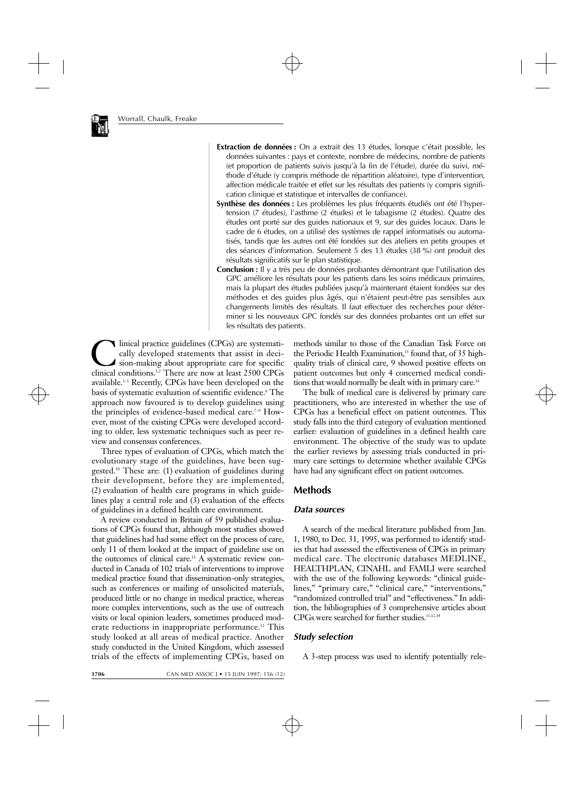

- **Extraction de données :** On a extrait des 13 études, lorsque c'était possible, les données suivantes : pays et contexte, nombre de médecins, nombre de patients (et proportion de patients suivis jusqu'à la fin de l'étude), durée du suivi, méthode d'étude (y compris méthode de répartition aléatoire), type d'intervention, affection médicale traitée et effet sur les résultats des patients (y compris signification clinique et statistique et intervalles de confiance).
- **Synthèse des données :** Les problèmes les plus fréquents étudiés ont été l'hypertension (7 études), l'asthme (2 études) et le tabagisme (2 études). Quatre des études ont porté sur des guides nationaux et 9, sur des guides locaux. Dans le cadre de 6 études, on a utilisé des systèmes de rappel informatisés ou automatisés, tandis que les autres ont été fondées sur des ateliers en petits groupes et des séances d'information. Seulement 5 des 13 études (38 %) ont produit des résultats significatifs sur le plan statistique.
- **Conclusion :** Il y a très peu de données probantes démontrant que l'utilisation des GPC améliore les résultats pour les patients dans les soins médicaux primaires, mais la plupart des études publiées jusqu'à maintenant étaient fondées sur des méthodes et des guides plus âgés, qui n'étaient peut-être pas sensibles aux changements limités des résultats. Il faut effectuer des recherches pour déterminer si les nouveaux GPC fondés sur des données probantes ont un effet sur les résultats des patients.

Inical practice guidelines (CPGs) are systematically developed statements that assist in decision-making about appropriate care for specific<br>clinical conditions <sup>1,2</sup> There are now at least 2500 CPGs cally developed statements that assist in decision-making about appropriate care for specific clinical conditions.1,2 There are now at least 2500 CPGs available. $3-5$  Recently, CPGs have been developed on the basis of systematic evaluation of scientific evidence.6 The approach now favoured is to develop guidelines using the principles of evidence-based medical care.<sup>7-9</sup> However, most of the existing CPGs were developed according to older, less systematic techniques such as peer review and consensus conferences.

Three types of evaluation of CPGs, which match the evolutionary stage of the guidelines, have been suggested.10 These are: (1) evaluation of guidelines during their development, before they are implemented, (2) evaluation of health care programs in which guidelines play a central role and (3) evaluation of the effects of guidelines in a defined health care environment.

A review conducted in Britain of 59 published evaluations of CPGs found that, although most studies showed that guidelines had had some effect on the process of care, only 11 of them looked at the impact of guideline use on the outcomes of clinical care.11 A systematic review conducted in Canada of 102 trials of interventions to improve medical practice found that dissemination-only strategies, such as conferences or mailing of unsolicited materials, produced little or no change in medical practice, whereas more complex interventions, such as the use of outreach visits or local opinion leaders, sometimes produced moderate reductions in inappropriate performance.<sup>12</sup> This study looked at all areas of medical practice. Another study conducted in the United Kingdom, which assessed trials of the effects of implementing CPGs, based on methods similar to those of the Canadian Task Force on the Periodic Health Examination, $13$  found that, of 35 highquality trials of clinical care, 9 showed positive effects on patient outcomes but only 4 concerned medical conditions that would normally be dealt with in primary care.<sup>14</sup>

The bulk of medical care is delivered by primary care practitioners, who are interested in whether the use of CPGs has a beneficial effect on patient outcomes. This study falls into the third category of evaluation mentioned earlier: evaluation of guidelines in a defined health care environment. The objective of the study was to update the earlier reviews by assessing trials conducted in primary care settings to determine whether available CPGs have had any significant effect on patient outcomes.

# **Methods**

#### *Data sources*

A search of the medical literature published from Jan. 1, 1980, to Dec. 31, 1995, was performed to identify studies that had assessed the effectiveness of CPGs in primary medical care. The electronic databases MEDLINE, HEALTHPLAN, CINAHL and FAMLI were searched with the use of the following keywords: "clinical guidelines," "primary care," "clinical care," "interventions," "randomized controlled trial" and "effectiveness." In addition, the bibliographies of 3 comprehensive articles about CPGs were searched for further studies.11,12,14

## *Study selection*

A 3-step process was used to identify potentially rele-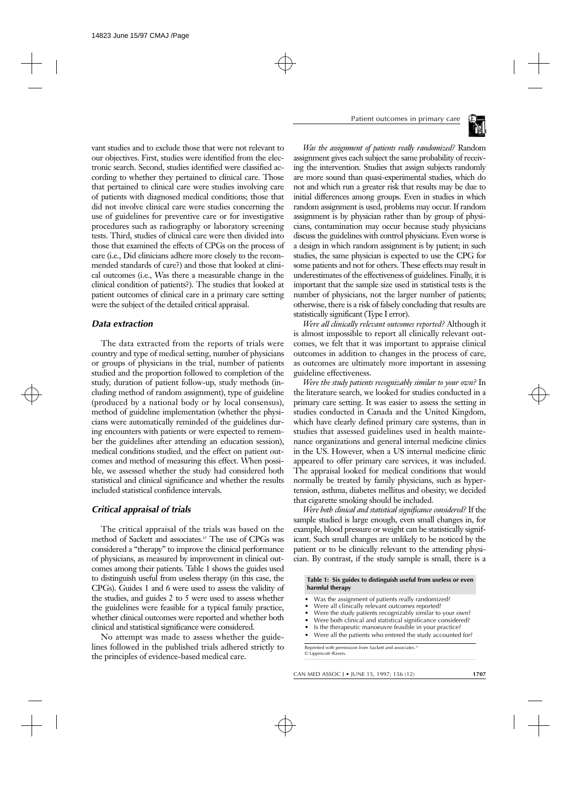vant studies and to exclude those that were not relevant to our objectives. First, studies were identified from the electronic search. Second, studies identified were classified according to whether they pertained to clinical care. Those that pertained to clinical care were studies involving care of patients with diagnosed medical conditions; those that did not involve clinical care were studies concerning the use of guidelines for preventive care or for investigative procedures such as radiography or laboratory screening tests. Third, studies of clinical care were then divided into those that examined the effects of CPGs on the process of care (i.e., Did clinicians adhere more closely to the recommended standards of care?) and those that looked at clinical outcomes (i.e., Was there a measurable change in the clinical condition of patients?). The studies that looked at patient outcomes of clinical care in a primary care setting were the subject of the detailed critical appraisal.

## *Data extraction*

The data extracted from the reports of trials were country and type of medical setting, number of physicians or groups of physicians in the trial, number of patients studied and the proportion followed to completion of the study, duration of patient follow-up, study methods (including method of random assignment), type of guideline (produced by a national body or by local consensus), method of guideline implementation (whether the physicians were automatically reminded of the guidelines during encounters with patients or were expected to remember the guidelines after attending an education session), medical conditions studied, and the effect on patient outcomes and method of measuring this effect. When possible, we assessed whether the study had considered both statistical and clinical significance and whether the results included statistical confidence intervals.

## *Critical appraisal of trials*

The critical appraisal of the trials was based on the method of Sackett and associates.15 The use of CPGs was considered a "therapy" to improve the clinical performance of physicians, as measured by improvement in clinical outcomes among their patients. Table 1 shows the guides used to distinguish useful from useless therapy (in this case, the CPGs). Guides 1 and 6 were used to assess the validity of the studies, and guides 2 to 5 were used to assess whether the guidelines were feasible for a typical family practice, whether clinical outcomes were reported and whether both clinical and statistical significance were considered.

No attempt was made to assess whether the guidelines followed in the published trials adhered strictly to the principles of evidence-based medical care.

*Was the assignment of patients really randomized?* Random assignment gives each subject the same probability of receiving the intervention. Studies that assign subjects randomly are more sound than quasi-experimental studies, which do not and which run a greater risk that results may be due to initial differences among groups. Even in studies in which random assignment is used, problems may occur. If random assignment is by physician rather than by group of physicians, contamination may occur because study physicians discuss the guidelines with control physicians. Even worse is a design in which random assignment is by patient; in such studies, the same physician is expected to use the CPG for some patients and not for others. These effects may result in underestimates of the effectiveness of guidelines. Finally, it is important that the sample size used in statistical tests is the number of physicians, not the larger number of patients; otherwise, there is a risk of falsely concluding that results are statistically significant (Type I error).

*Were all clinically relevant outcomes reported?* Although it is almost impossible to report all clinically relevant outcomes, we felt that it was important to appraise clinical outcomes in addition to changes in the process of care, as outcomes are ultimately more important in assessing guideline effectiveness.

*Were the study patients recognizably similar to your own?* In the literature search, we looked for studies conducted in a primary care setting. It was easier to assess the setting in studies conducted in Canada and the United Kingdom, which have clearly defined primary care systems, than in studies that assessed guidelines used in health maintenance organizations and general internal medicine clinics in the US. However, when a US internal medicine clinic appeared to offer primary care services, it was included. The appraisal looked for medical conditions that would normally be treated by family physicians, such as hypertension, asthma, diabetes mellitus and obesity; we decided that cigarette smoking should be included.

*Were both clinical and statistical significance considered?* If the sample studied is large enough, even small changes in, for example, blood pressure or weight can be statistically significant. Such small changes are unlikely to be noticed by the patient or to be clinically relevant to the attending physician. By contrast, if the study sample is small, there is a

**Table 1: Six guides to distinguish useful from useless or even harmful therapy**

- Was the assignment of patients really randomized?
- Were all clinically relevant outcomes reported?
- Were the study patients recognizably similar to your own?
- Were both clinical and statistical significance considered?
- Is the therapeutic manoeuvre feasible in your practice?
- Were all the patients who entered the study accounted for?

Reprinted with permission from Sackett and associates.<sup>16</sup> © Lippincott–Raven.

CAN MED ASSOC J • JUNE 15, 1997; 156 (12) **1707**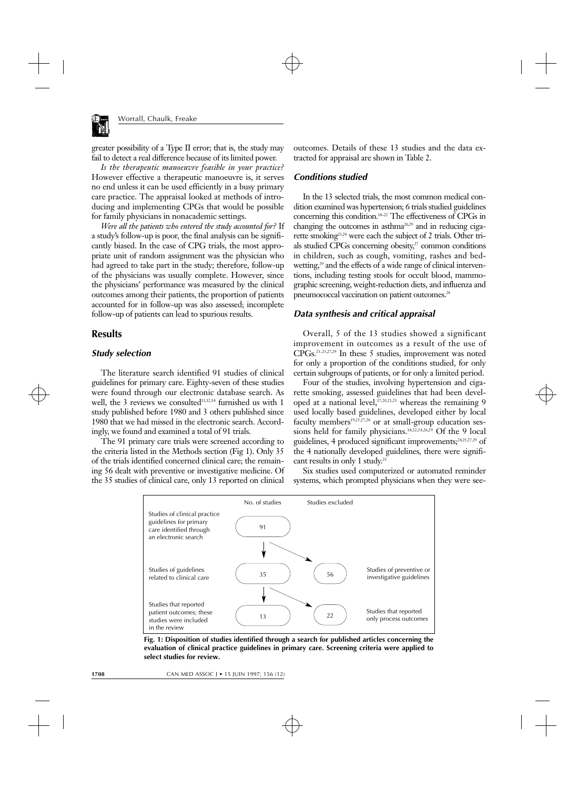

greater possibility of a Type II error; that is, the study may fail to detect a real difference because of its limited power.

*Is the therapeutic manoeuvre feasible in your practice?* However effective a therapeutic manoeuvre is, it serves no end unless it can be used efficiently in a busy primary care practice. The appraisal looked at methods of introducing and implementing CPGs that would be possible for family physicians in nonacademic settings.

*Were all the patients who entered the study accounted for?* If a study's follow-up is poor, the final analysis can be significantly biased. In the case of CPG trials, the most appropriate unit of random assignment was the physician who had agreed to take part in the study; therefore, follow-up of the physicians was usually complete. However, since the physicians' performance was measured by the clinical outcomes among their patients, the proportion of patients accounted for in follow-up was also assessed; incomplete follow-up of patients can lead to spurious results.

# **Results**

#### *Study selection*

The literature search identified 91 studies of clinical guidelines for primary care. Eighty-seven of these studies were found through our electronic database search. As well, the 3 reviews we consulted $11,12,14$  furnished us with 1 study published before 1980 and 3 others published since 1980 that we had missed in the electronic search. Accordingly, we found and examined a total of 91 trials.

The 91 primary care trials were screened according to the criteria listed in the Methods section (Fig 1). Only 35 of the trials identified concerned clinical care; the remaining 56 dealt with preventive or investigative medicine. Of the 35 studies of clinical care, only 13 reported on clinical

outcomes. Details of these 13 studies and the data extracted for appraisal are shown in Table 2.

#### *Conditions studied*

In the 13 selected trials, the most common medical condition examined was hypertension; 6 trials studied guidelines concerning this condition.18–22 The effectiveness of CPGs in changing the outcomes in asthma26,29 and in reducing cigarette smoking<sup>23,24</sup> were each the subject of 2 trials. Other trials studied CPGs concerning obesity, $27$  common conditions in children, such as cough, vomiting, rashes and bedwetting, $29$  and the effects of a wide range of clinical interventions, including testing stools for occult blood, mammographic screening, weight-reduction diets, and influenza and pneumococcal vaccination on patient outcomes.<sup>28</sup>

#### *Data synthesis and critical appraisal*

Overall, 5 of the 13 studies showed a significant improvement in outcomes as a result of the use of CPGs.23–25,27,29 In these 5 studies, improvement was noted for only a proportion of the conditions studied, for only certain subgroups of patients, or for only a limited period.

Four of the studies, involving hypertension and cigarette smoking, assessed guidelines that had been developed at a national level,  $17,20,21,23$  whereas the remaining 9 used locally based guidelines, developed either by local faculty members<sup>19,25,27,28</sup> or at small-group education sessions held for family physicians.<sup>18,22,24,26,29</sup> Of the 9 local guidelines, 4 produced significant improvements;<sup>24,25,27,29</sup> of the 4 nationally developed guidelines, there were significant results in only 1 study.<sup>23</sup>

Six studies used computerized or automated reminder systems, which prompted physicians when they were see-



**Fig. 1: Disposition of studies identified through a search for published articles concerning the evaluation of clinical practice guidelines in primary care. Screening criteria were applied to select studies for review.**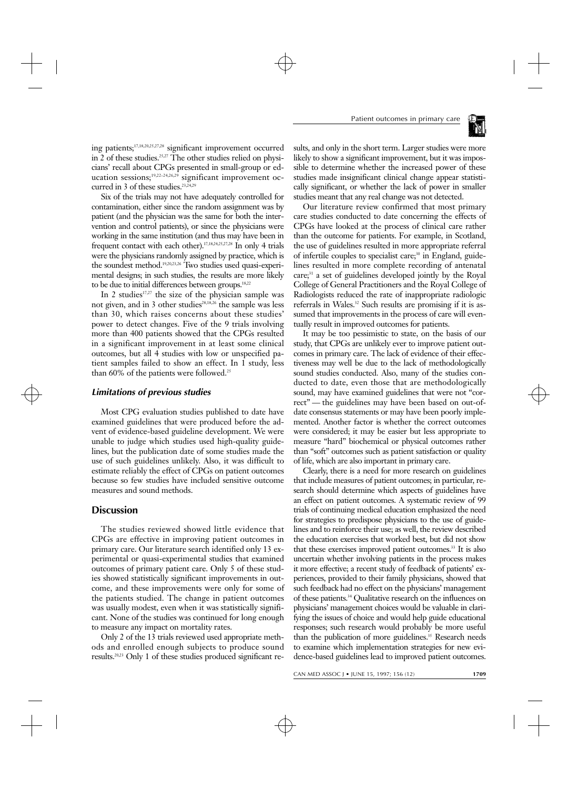

ing patients;17,18,20,25,27,28 significant improvement occurred in 2 of these studies.<sup>25,27</sup> The other studies relied on physicians' recall about CPGs presented in small-group or education sessions;<sup>19,22-24,26,29</sup> significant improvement occurred in 3 of these studies.<sup>23,24,29</sup>

Six of the trials may not have adequately controlled for contamination, either since the random assignment was by patient (and the physician was the same for both the intervention and control patients), or since the physicians were working in the same institution (and thus may have been in frequent contact with each other).17,18,24,25,27,28 In only 4 trials were the physicians randomly assigned by practice, which is the soundest method.19,20,23,26 Two studies used quasi-experimental designs; in such studies, the results are more likely to be due to initial differences between groups.<sup>18,22</sup>

In 2 studies $17,27$  the size of the physician sample was not given, and in 3 other studies<sup>28,18,26</sup> the sample was less than 30, which raises concerns about these studies' power to detect changes. Five of the 9 trials involving more than 400 patients showed that the CPGs resulted in a significant improvement in at least some clinical outcomes, but all 4 studies with low or unspecified patient samples failed to show an effect. In 1 study, less than 60% of the patients were followed.<sup>25</sup>

#### *Limitations of previous studies*

Most CPG evaluation studies published to date have examined guidelines that were produced before the advent of evidence-based guideline development. We were unable to judge which studies used high-quality guidelines, but the publication date of some studies made the use of such guidelines unlikely. Also, it was difficult to estimate reliably the effect of CPGs on patient outcomes because so few studies have included sensitive outcome measures and sound methods.

# **Discussion**

The studies reviewed showed little evidence that CPGs are effective in improving patient outcomes in primary care. Our literature search identified only 13 experimental or quasi-experimental studies that examined outcomes of primary patient care. Only 5 of these studies showed statistically significant improvements in outcome, and these improvements were only for some of the patients studied. The change in patient outcomes was usually modest, even when it was statistically significant. None of the studies was continued for long enough to measure any impact on mortality rates.

Only 2 of the 13 trials reviewed used appropriate methods and enrolled enough subjects to produce sound results.20,23 Only 1 of these studies produced significant results, and only in the short term. Larger studies were more likely to show a significant improvement, but it was impossible to determine whether the increased power of these studies made insignificant clinical change appear statistically significant, or whether the lack of power in smaller studies meant that any real change was not detected.

Our literature review confirmed that most primary care studies conducted to date concerning the effects of CPGs have looked at the process of clinical care rather than the outcome for patients. For example, in Scotland, the use of guidelines resulted in more appropriate referral of infertile couples to specialist care;<sup>30</sup> in England, guidelines resulted in more complete recording of antenatal care;<sup>31</sup> a set of guidelines developed jointly by the Royal College of General Practitioners and the Royal College of Radiologists reduced the rate of inappropriate radiologic referrals in Wales.<sup>32</sup> Such results are promising if it is assumed that improvements in the process of care will eventually result in improved outcomes for patients.

It may be too pessimistic to state, on the basis of our study, that CPGs are unlikely ever to improve patient outcomes in primary care. The lack of evidence of their effectiveness may well be due to the lack of methodologically sound studies conducted. Also, many of the studies conducted to date, even those that are methodologically sound, may have examined guidelines that were not "correct" — the guidelines may have been based on out-ofdate consensus statements or may have been poorly implemented. Another factor is whether the correct outcomes were considered; it may be easier but less appropriate to measure "hard" biochemical or physical outcomes rather than "soft" outcomes such as patient satisfaction or quality of life, which are also important in primary care.

Clearly, there is a need for more research on guidelines that include measures of patient outcomes; in particular, research should determine which aspects of guidelines have an effect on patient outcomes. A systematic review of 99 trials of continuing medical education emphasized the need for strategies to predispose physicians to the use of guidelines and to reinforce their use; as well, the review described the education exercises that worked best, but did not show that these exercises improved patient outcomes.<sup>33</sup> It is also uncertain whether involving patients in the process makes it more effective; a recent study of feedback of patients' experiences, provided to their family physicians, showed that such feedback had no effect on the physicians' management of these patients.34 Qualitative research on the influences on physicians' management choices would be valuable in clarifying the issues of choice and would help guide educational responses; such research would probably be more useful than the publication of more guidelines.<sup>35</sup> Research needs to examine which implementation strategies for new evidence-based guidelines lead to improved patient outcomes.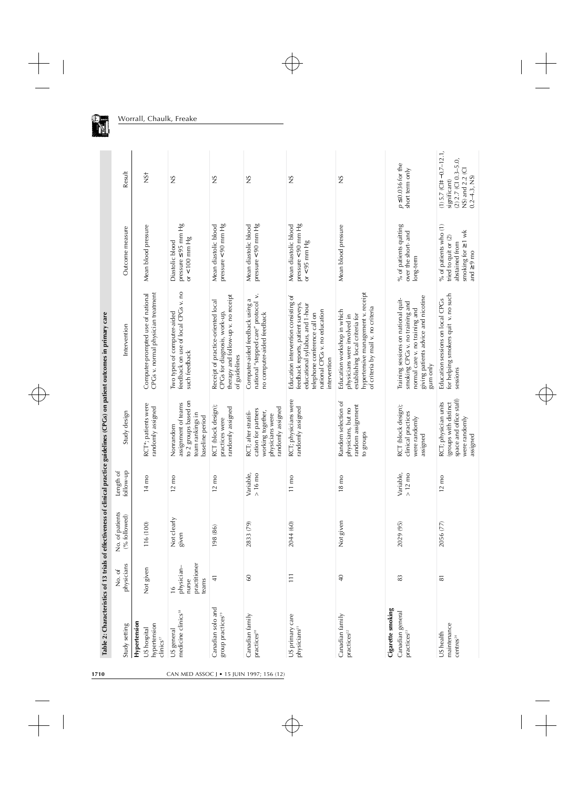| Hypertension<br>hypertension<br>Study setting<br>US hospital<br>clinics <sup>17</sup> | physicians<br>Not given<br>No. of                             | No. of patients<br>(% followed)<br>116 (100) | follow-up<br>Length of<br>$14 \text{ mo}$ | RCT*; patients were<br>randomly assigned<br>Study design                                                 | CPGs v. normal physician treatment<br>Computer-prompted use of national<br>Intervention                                                                                                         | Mean blood pressure<br>Outcome measure                                                                        | Result<br>$NS+$                                                                                                    |
|---------------------------------------------------------------------------------------|---------------------------------------------------------------|----------------------------------------------|-------------------------------------------|----------------------------------------------------------------------------------------------------------|-------------------------------------------------------------------------------------------------------------------------------------------------------------------------------------------------|---------------------------------------------------------------------------------------------------------------|--------------------------------------------------------------------------------------------------------------------|
| medicine clinics <sup>18</sup><br>US general                                          | practitioner<br>physician-<br>teams<br>nurse<br>$\frac{6}{1}$ | Not clearly<br>given                         | $12 \text{ mo}$                           | to 2 groups based on<br>assignment of teams<br>team rankings in<br>baseline period<br>Nonrandom          | feedback on use of local CPGs v. no<br>Two types of computer-aided<br>such feedback                                                                                                             | pressure $\leq$ 95 mm Hg<br>or $< 100$ mm Hg<br>Diastolic blood                                               | 2N                                                                                                                 |
| Canadian solo and<br>group practices <sup>19</sup>                                    | $\frac{1}{4}$                                                 | 198 (86)                                     | $12 \text{ mo}$                           | RCT (block design);<br>randomly assigned<br>practices were                                               | therapy and follow-up v. no receipt<br>Receipt of practice-oriented local<br>CPGs for diagnosis, work-up,<br>of guidelines                                                                      | pressure $< 90$ mm $Hg$<br>Mean diastolic blood                                                               | $\frac{S}{S}$                                                                                                      |
| Canadian family<br>practices <sup>20</sup>                                            | 60                                                            | 2833 (79)                                    | Variable,<br>$> 16$ mo                    | randomly assigned<br>cation for partners<br>working together,<br>RCT; after stratifi-<br>physicians were | national "stepped care" protocol v.<br>Computer-aided feedback using a<br>no computer-aided feedback                                                                                            | pressure < 90 mm Hg<br>Mean diastolic blood                                                                   | ΣS                                                                                                                 |
| US primary care<br>physicians <sup>21</sup>                                           | $\Xi$                                                         | 2044 (60)                                    | $11 \text{ mo}$                           | RCT; physicians were<br>randomly assigned                                                                | Education intervention consisting of<br>feedback reports, patient surveys,<br>educational syllabus, and 1-hour<br>national CPGs v. no education<br>telephone conference call on<br>intervention | pressure < 90 mm Hg<br>Mean diastolic blood<br>or < $95$ mm Hg                                                | ΣN                                                                                                                 |
| Canadian family<br>practices <sup>22</sup>                                            | $\frac{1}{4}$                                                 | Not given                                    | $18 \text{ mo}$                           | Random selection of<br>random assignment<br>physicians, but no<br>to groups                              | hypertensive management v. receipt<br>of criteria by mail v. no criteria<br>Education workshop in which<br>establishing local criteria for<br>physicians were involved in                       | Mean blood pressure                                                                                           | SN                                                                                                                 |
| Cigarette smoking<br>Canadian general<br>practices <sup>23</sup>                      | 83                                                            | 2029 (95)                                    | Variable,<br>$>12$ mo                     | RCT (block design);<br>clinical practices<br>were randomly<br>assigned                                   | giving patients advice and nicotine<br>Training sessions on national quit-<br>smoking CPGs v. no training and<br>normal care v. no training and<br>gum only                                     | % of patients quitting<br>over the short- and<br>long-term                                                    | $p \le 0.036$ for the<br>short term only                                                                           |
| maintenance<br>US health<br>centres <sup>24</sup>                                     | $\overline{8}$                                                | 2056 (77)                                    | $12 \text{ mo}$                           | space and office staff)<br>RCT; physician units<br>(groups with distinct<br>were randomly                | for helping smokers quit v. no such<br>Education sessions on local CPGs<br>sessions                                                                                                             | % of patients who (1)<br>smoking for $\geq 1$ wk<br>tried to quit or (2)<br>abstained from<br>and $\geq 9$ mo | $(1)$ 5.7 (CI $\pm$ -0.7-12.1,<br>$(2)$ 2.7 (CI 0.3-5.0,<br>$NS)$ and 2.2 (CI<br>$0.2 - 4.3$ , NS)<br>significant) |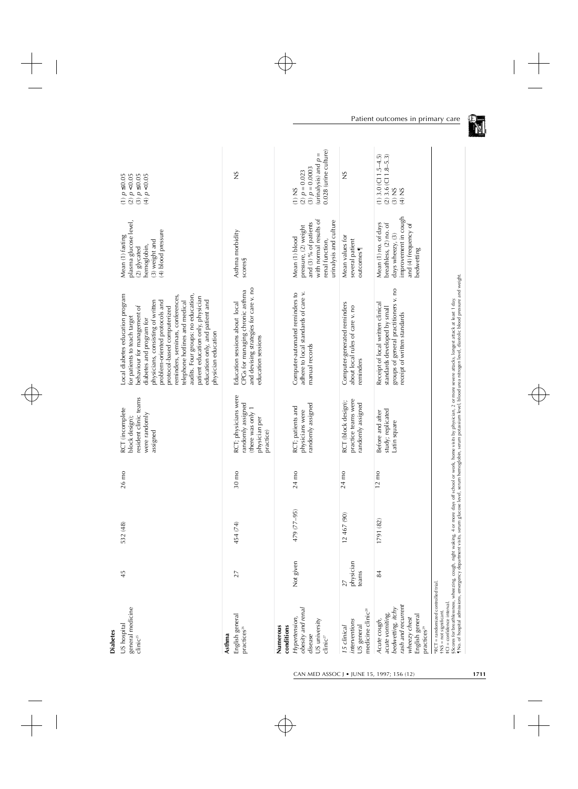| <b>Diabetes</b>                                                                                                                             |                          |             |                 |                                                                                              |                                                                                                                                                                                                                                                                                                                                                                                                                                               |                                                                                                                                        |                                                                                                    |
|---------------------------------------------------------------------------------------------------------------------------------------------|--------------------------|-------------|-----------------|----------------------------------------------------------------------------------------------|-----------------------------------------------------------------------------------------------------------------------------------------------------------------------------------------------------------------------------------------------------------------------------------------------------------------------------------------------------------------------------------------------------------------------------------------------|----------------------------------------------------------------------------------------------------------------------------------------|----------------------------------------------------------------------------------------------------|
| general medicine<br>US hospital<br>clinic <sup>25</sup>                                                                                     | 45                       | 532 (48)    | 26 mo           | resident clinic teams<br>RCT (incomplete<br>were randomly<br>block design);<br>assigned      | -ocal diabetes education program<br>audits. Four groups: no education,<br>reminders, seminars, conferences,<br>patient education only, physician<br>education only, and patient and<br>physicians, consisting of written<br>telephone hotlines and medical<br>problem-oriented protocols and<br>behaviour for management of<br>protocol-based computerized<br>for patients to teach target<br>diabetes and program for<br>physician education | plasma glucose level,<br>(4) blood pressure<br>Mean (1) fasting<br>(3) weight and<br>hemoglobin,<br>$(2)$ glycated                     | (2) p < 0.05<br>(3) $p \le 0.05$<br>(4) $p < 0.05$<br>$(1) p \le 0.05$                             |
| Asthma                                                                                                                                      |                          |             |                 |                                                                                              |                                                                                                                                                                                                                                                                                                                                                                                                                                               |                                                                                                                                        |                                                                                                    |
| English general<br>practices <sup>26</sup>                                                                                                  | 27                       | 454 (74)    | $30 \text{ mo}$ | RCT; physicians were<br>randomly assigned<br>(there was only 1<br>physician per<br>practice) | and devising strategies for care v. no<br>CPGs for managing chronic asthma<br>Education sessions about local<br>education sessions                                                                                                                                                                                                                                                                                                            | Asthma morbidity<br>scores§                                                                                                            | 2N                                                                                                 |
| conditions<br>Numerous                                                                                                                      |                          |             |                 |                                                                                              |                                                                                                                                                                                                                                                                                                                                                                                                                                               |                                                                                                                                        |                                                                                                    |
| obesity and renal<br>Hypertension,<br>US university<br>disease<br>clinic <sup>27</sup>                                                      | Not given                | 479 (77-95) | 24 mo           | randomly assigned<br>RCT; patients and<br>physicians were                                    | adhere to local standards of care v.<br>Computer-automated reminders to<br>manual records                                                                                                                                                                                                                                                                                                                                                     | with normal results of<br>urinalysis and culture<br>and (3) % of patients<br>pressure, (2) weight<br>Mean (1) blood<br>renal function, | 0.028 (urine culture)<br>(urinalysis) and $p =$<br>$(3) p = 0.0003$<br>$(2) p = 0.023$<br>$(1)$ NS |
| medicine clinic <sup>28</sup><br>interventions<br>US general<br>15 clinical                                                                 | physician<br>teams<br>27 | 12 467 (90) | 24 mo           | practice teams were<br>RCT (block design);<br>randomly assigned                              | Computer-generated reminders<br>about local rules of care v. no<br>reminders                                                                                                                                                                                                                                                                                                                                                                  | Mean values for<br>several patient<br>outcomes                                                                                         | SN                                                                                                 |
| rash and recurrent<br>bedwetting, itchy<br>acute vomiting,<br>English general<br>$wherezy$ chest<br>Acute cough,<br>practices <sup>29</sup> | 84                       | 1791 (82)   | $12 \text{ mo}$ | study; replicated<br>Before and after<br>Latin square                                        | groups of general practitioners v. no<br>Receipt of local written clinical<br>standards developed by small<br>receipt of written standards                                                                                                                                                                                                                                                                                                    | improvement in cough<br>Mean (1) no. of days<br>breathless, (2) no. of<br>and (4) frequency of<br>days wheezy, (3)<br>bedwetting       | $(1)$ 3.0 $(C11.5-4.5)$<br>$(2)$ 3.6 (CI 1.8-5.3)<br>$(S)$ NS<br>(4) NS                            |
| *RCT = randomized controlled trial.<br>#CI = confidence interval<br>+NS = not significant.                                                  |                          |             |                 |                                                                                              | §Scores for breathlessness, wheezing, cough, night waking, 4 or more days off school or work, home visits by physician, 2 or more severe attacks, longest attack at least 1 day.<br>¶No. of hospital admissions, emergency depar                                                                                                                                                                                                              |                                                                                                                                        |                                                                                                    |

(F) N

CAN MED ASSOC J • JUNE 15, 1997; 156 (12) **1711**